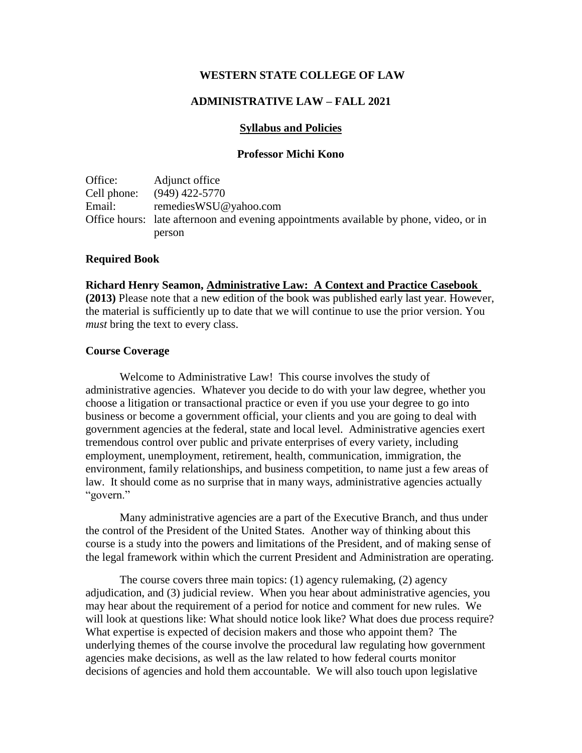### **WESTERN STATE COLLEGE OF LAW**

### **ADMINISTRATIVE LAW – FALL 2021**

### **Syllabus and Policies**

#### **Professor Michi Kono**

Office: Adjunct office Cell phone: (949) 422-5770 Email: remediesWSU@yahoo.com Office hours: late afternoon and evening appointments available by phone, video, or in person

#### **Required Book**

**Richard Henry Seamon, Administrative Law: A Context and Practice Casebook** 

**(2013)** Please note that a new edition of the book was published early last year. However, the material is sufficiently up to date that we will continue to use the prior version. You *must* bring the text to every class.

#### **Course Coverage**

Welcome to Administrative Law! This course involves the study of administrative agencies. Whatever you decide to do with your law degree, whether you choose a litigation or transactional practice or even if you use your degree to go into business or become a government official, your clients and you are going to deal with government agencies at the federal, state and local level. Administrative agencies exert tremendous control over public and private enterprises of every variety, including employment, unemployment, retirement, health, communication, immigration, the environment, family relationships, and business competition, to name just a few areas of law. It should come as no surprise that in many ways, administrative agencies actually "govern."

Many administrative agencies are a part of the Executive Branch, and thus under the control of the President of the United States. Another way of thinking about this course is a study into the powers and limitations of the President, and of making sense of the legal framework within which the current President and Administration are operating.

The course covers three main topics: (1) agency rulemaking, (2) agency adjudication, and (3) judicial review. When you hear about administrative agencies, you may hear about the requirement of a period for notice and comment for new rules. We will look at questions like: What should notice look like? What does due process require? What expertise is expected of decision makers and those who appoint them? The underlying themes of the course involve the procedural law regulating how government agencies make decisions, as well as the law related to how federal courts monitor decisions of agencies and hold them accountable. We will also touch upon legislative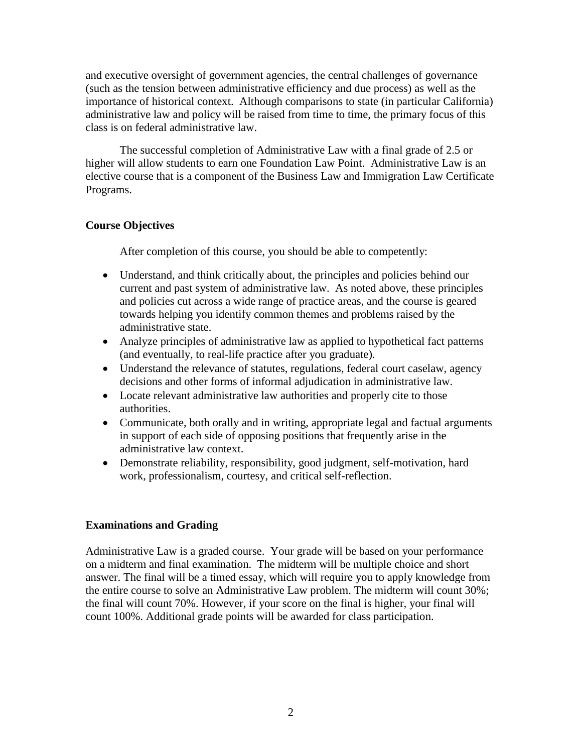and executive oversight of government agencies, the central challenges of governance (such as the tension between administrative efficiency and due process) as well as the importance of historical context. Although comparisons to state (in particular California) administrative law and policy will be raised from time to time, the primary focus of this class is on federal administrative law.

The successful completion of Administrative Law with a final grade of 2.5 or higher will allow students to earn one Foundation Law Point. Administrative Law is an elective course that is a component of the Business Law and Immigration Law Certificate Programs.

# **Course Objectives**

After completion of this course, you should be able to competently:

- Understand, and think critically about, the principles and policies behind our current and past system of administrative law. As noted above, these principles and policies cut across a wide range of practice areas, and the course is geared towards helping you identify common themes and problems raised by the administrative state.
- Analyze principles of administrative law as applied to hypothetical fact patterns (and eventually, to real-life practice after you graduate).
- Understand the relevance of statutes, regulations, federal court caselaw, agency decisions and other forms of informal adjudication in administrative law.
- Locate relevant administrative law authorities and properly cite to those authorities.
- Communicate, both orally and in writing, appropriate legal and factual arguments in support of each side of opposing positions that frequently arise in the administrative law context.
- Demonstrate reliability, responsibility, good judgment, self-motivation, hard work, professionalism, courtesy, and critical self-reflection.

### **Examinations and Grading**

Administrative Law is a graded course. Your grade will be based on your performance on a midterm and final examination. The midterm will be multiple choice and short answer. The final will be a timed essay, which will require you to apply knowledge from the entire course to solve an Administrative Law problem. The midterm will count 30%; the final will count 70%. However, if your score on the final is higher, your final will count 100%. Additional grade points will be awarded for class participation.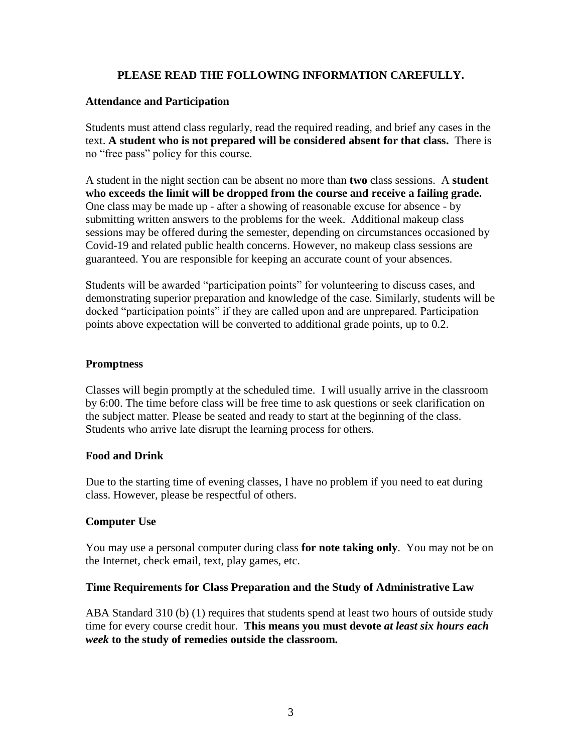# **PLEASE READ THE FOLLOWING INFORMATION CAREFULLY.**

# **Attendance and Participation**

Students must attend class regularly, read the required reading, and brief any cases in the text. **A student who is not prepared will be considered absent for that class.** There is no "free pass" policy for this course.

A student in the night section can be absent no more than **two** class sessions. A **student who exceeds the limit will be dropped from the course and receive a failing grade.** One class may be made up - after a showing of reasonable excuse for absence - by submitting written answers to the problems for the week. Additional makeup class sessions may be offered during the semester, depending on circumstances occasioned by Covid-19 and related public health concerns. However, no makeup class sessions are guaranteed. You are responsible for keeping an accurate count of your absences.

Students will be awarded "participation points" for volunteering to discuss cases, and demonstrating superior preparation and knowledge of the case. Similarly, students will be docked "participation points" if they are called upon and are unprepared. Participation points above expectation will be converted to additional grade points, up to 0.2.

# **Promptness**

Classes will begin promptly at the scheduled time. I will usually arrive in the classroom by 6:00. The time before class will be free time to ask questions or seek clarification on the subject matter. Please be seated and ready to start at the beginning of the class. Students who arrive late disrupt the learning process for others.

# **Food and Drink**

Due to the starting time of evening classes, I have no problem if you need to eat during class. However, please be respectful of others.

# **Computer Use**

You may use a personal computer during class **for note taking only**. You may not be on the Internet, check email, text, play games, etc.

### **Time Requirements for Class Preparation and the Study of Administrative Law**

ABA Standard 310 (b) (1) requires that students spend at least two hours of outside study time for every course credit hour. **This means you must devote** *at least six hours each week* **to the study of remedies outside the classroom.**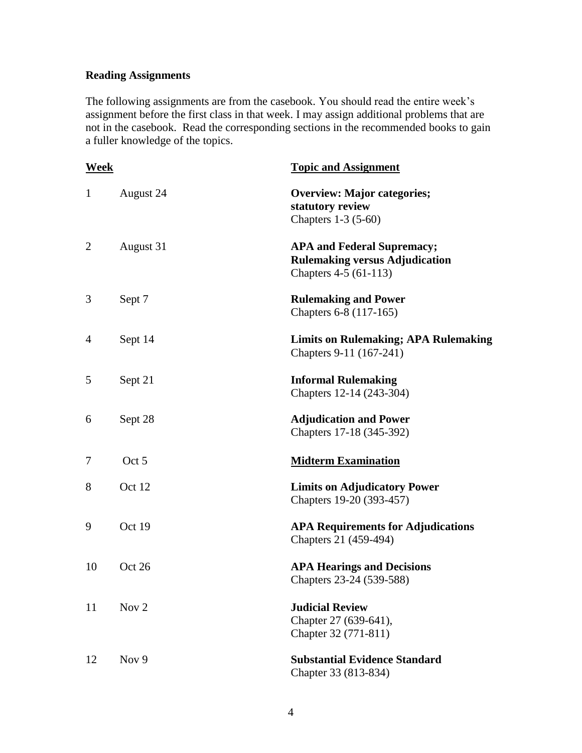# **Reading Assignments**

The following assignments are from the casebook. You should read the entire week's assignment before the first class in that week. I may assign additional problems that are not in the casebook. Read the corresponding sections in the recommended books to gain a fuller knowledge of the topics.

| Week           |                  | <b>Topic and Assignment</b>                                                                         |
|----------------|------------------|-----------------------------------------------------------------------------------------------------|
| $\mathbf{1}$   | August 24        | <b>Overview: Major categories;</b><br>statutory review<br>Chapters 1-3 (5-60)                       |
| $\overline{c}$ | August 31        | <b>APA and Federal Supremacy;</b><br><b>Rulemaking versus Adjudication</b><br>Chapters 4-5 (61-113) |
| 3              | Sept 7           | <b>Rulemaking and Power</b><br>Chapters 6-8 (117-165)                                               |
| 4              | Sept 14          | <b>Limits on Rulemaking; APA Rulemaking</b><br>Chapters 9-11 (167-241)                              |
| 5              | Sept 21          | <b>Informal Rulemaking</b><br>Chapters 12-14 (243-304)                                              |
| 6              | Sept 28          | <b>Adjudication and Power</b><br>Chapters 17-18 (345-392)                                           |
| 7              | Oct 5            | <b>Midterm Examination</b>                                                                          |
| 8              | Oct 12           | <b>Limits on Adjudicatory Power</b><br>Chapters 19-20 (393-457)                                     |
| 9              | Oct 19           | <b>APA Requirements for Adjudications</b><br>Chapters 21 (459-494)                                  |
| 10             | Oct 26           | <b>APA Hearings and Decisions</b><br>Chapters 23-24 (539-588)                                       |
| 11             | Nov <sub>2</sub> | <b>Judicial Review</b><br>Chapter 27 (639-641),<br>Chapter 32 (771-811)                             |
| 12             | Nov 9            | <b>Substantial Evidence Standard</b><br>Chapter 33 (813-834)                                        |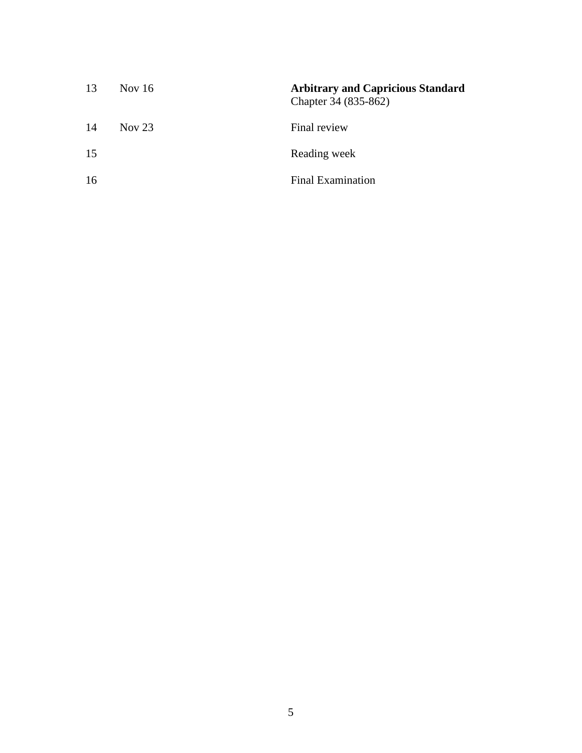| 13 | Nov 16   | <b>Arbitrary and Capricious Standard</b><br>Chapter 34 (835-862) |
|----|----------|------------------------------------------------------------------|
| 14 | Nov $23$ | Final review                                                     |
| 15 |          | Reading week                                                     |
| 16 |          | <b>Final Examination</b>                                         |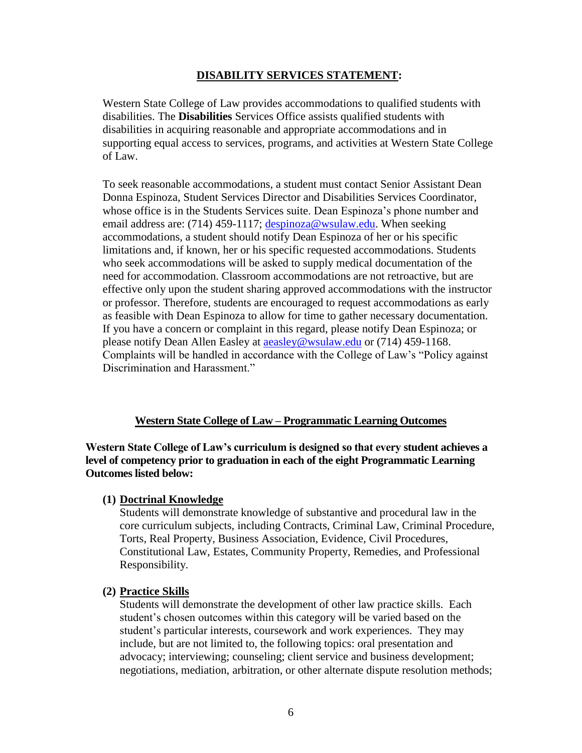### **DISABILITY SERVICES STATEMENT:**

Western State College of Law provides accommodations to qualified students with disabilities. The **Disabilities** Services Office assists qualified students with disabilities in acquiring reasonable and appropriate accommodations and in supporting equal access to services, programs, and activities at Western State College of Law.

To seek reasonable accommodations, a student must contact Senior Assistant Dean Donna Espinoza, Student Services Director and Disabilities Services Coordinator, whose office is in the Students Services suite. Dean Espinoza's phone number and email address are: (714) 459-1117; [despinoza@wsulaw.edu.](mailto:despinoza@wsulaw.edu) When seeking accommodations, a student should notify Dean Espinoza of her or his specific limitations and, if known, her or his specific requested accommodations. Students who seek accommodations will be asked to supply medical documentation of the need for accommodation. Classroom accommodations are not retroactive, but are effective only upon the student sharing approved accommodations with the instructor or professor. Therefore, students are encouraged to request accommodations as early as feasible with Dean Espinoza to allow for time to gather necessary documentation. If you have a concern or complaint in this regard, please notify Dean Espinoza; or please notify Dean Allen Easley at [aeasley@wsulaw.edu](mailto:aeasley@wsulaw.edu) or (714) 459-1168. Complaints will be handled in accordance with the College of Law's "Policy against Discrimination and Harassment."

# **Western State College of Law – Programmatic Learning Outcomes**

**Western State College of Law's curriculum is designed so that every student achieves a level of competency prior to graduation in each of the eight Programmatic Learning Outcomes listed below:**

### **(1) Doctrinal Knowledge**

Students will demonstrate knowledge of substantive and procedural law in the core curriculum subjects, including Contracts, Criminal Law, Criminal Procedure, Torts, Real Property, Business Association, Evidence, Civil Procedures, Constitutional Law, Estates, Community Property, Remedies, and Professional Responsibility.

#### **(2) Practice Skills**

Students will demonstrate the development of other law practice skills. Each student's chosen outcomes within this category will be varied based on the student's particular interests, coursework and work experiences. They may include, but are not limited to, the following topics: oral presentation and advocacy; interviewing; counseling; client service and business development; negotiations, mediation, arbitration, or other alternate dispute resolution methods;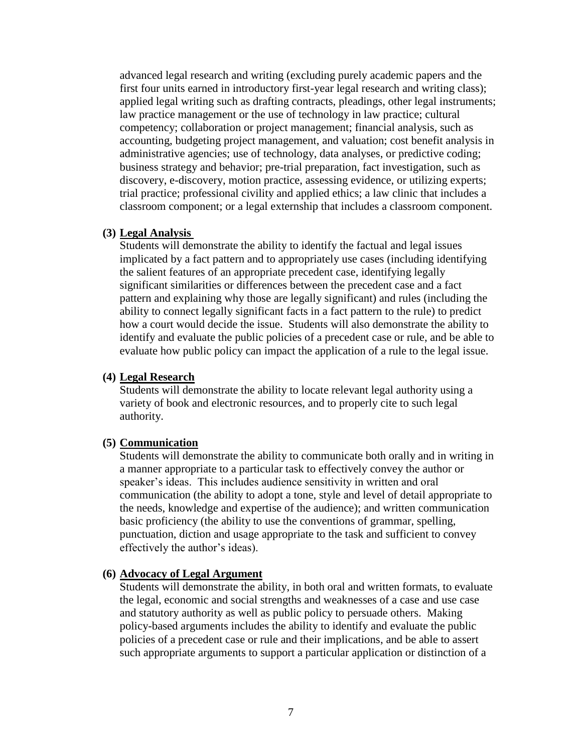advanced legal research and writing (excluding purely academic papers and the first four units earned in introductory first-year legal research and writing class); applied legal writing such as drafting contracts, pleadings, other legal instruments; law practice management or the use of technology in law practice; cultural competency; collaboration or project management; financial analysis, such as accounting, budgeting project management, and valuation; cost benefit analysis in administrative agencies; use of technology, data analyses, or predictive coding; business strategy and behavior; pre-trial preparation, fact investigation, such as discovery, e-discovery, motion practice, assessing evidence, or utilizing experts; trial practice; professional civility and applied ethics; a law clinic that includes a classroom component; or a legal externship that includes a classroom component.

#### **(3) Legal Analysis**

Students will demonstrate the ability to identify the factual and legal issues implicated by a fact pattern and to appropriately use cases (including identifying the salient features of an appropriate precedent case, identifying legally significant similarities or differences between the precedent case and a fact pattern and explaining why those are legally significant) and rules (including the ability to connect legally significant facts in a fact pattern to the rule) to predict how a court would decide the issue. Students will also demonstrate the ability to identify and evaluate the public policies of a precedent case or rule, and be able to evaluate how public policy can impact the application of a rule to the legal issue.

### **(4) Legal Research**

Students will demonstrate the ability to locate relevant legal authority using a variety of book and electronic resources, and to properly cite to such legal authority.

#### **(5) Communication**

Students will demonstrate the ability to communicate both orally and in writing in a manner appropriate to a particular task to effectively convey the author or speaker's ideas. This includes audience sensitivity in written and oral communication (the ability to adopt a tone, style and level of detail appropriate to the needs, knowledge and expertise of the audience); and written communication basic proficiency (the ability to use the conventions of grammar, spelling, punctuation, diction and usage appropriate to the task and sufficient to convey effectively the author's ideas).

#### **(6) Advocacy of Legal Argument**

Students will demonstrate the ability, in both oral and written formats, to evaluate the legal, economic and social strengths and weaknesses of a case and use case and statutory authority as well as public policy to persuade others. Making policy-based arguments includes the ability to identify and evaluate the public policies of a precedent case or rule and their implications, and be able to assert such appropriate arguments to support a particular application or distinction of a